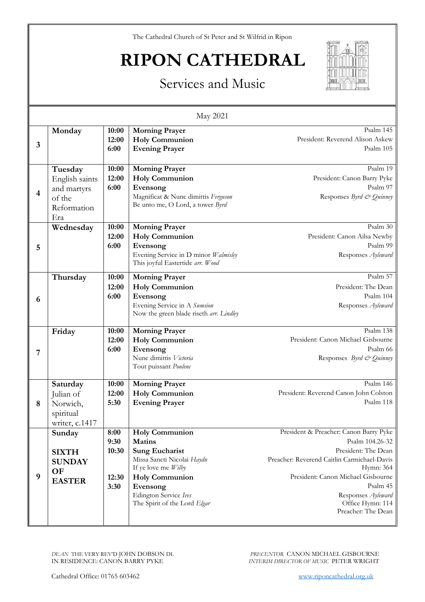The Cathedral Church of St Peter and St Wilfrid in Ripon

## **RIPON CATHEDRAL**



## Services and Music

| May 2021       |                                                                          |                                        |                                                                                                                                                                                                                    |                                                                                                                                                                                                                                                                |  |  |
|----------------|--------------------------------------------------------------------------|----------------------------------------|--------------------------------------------------------------------------------------------------------------------------------------------------------------------------------------------------------------------|----------------------------------------------------------------------------------------------------------------------------------------------------------------------------------------------------------------------------------------------------------------|--|--|
| 3              | Monday                                                                   | 10:00<br>12:00<br>6:00                 | <b>Morning Prayer</b><br><b>Holy Communion</b><br><b>Evening Prayer</b>                                                                                                                                            | Psalm 145<br>President: Reverend Alison Askew<br>Psalm 105                                                                                                                                                                                                     |  |  |
| $\overline{4}$ | Tuesday<br>English saints<br>and martyrs<br>of the<br>Reformation<br>Era | 10:00<br>12:00<br>6:00                 | <b>Morning Prayer</b><br><b>Holy Communion</b><br>Evensong<br>Magnificat & Nunc dimittis Ferguson<br>Be unto me, O Lord, a tower Byrd                                                                              | Psalm 19<br>President: Canon Barry Pyke<br>Psalm 97<br>Responses Byrd & Quinney                                                                                                                                                                                |  |  |
| 5              | Wednesday                                                                | 10:00<br>12:00<br>6:00                 | <b>Morning Prayer</b><br><b>Holy Communion</b><br>Evensong<br>Evening Service in D minor Walmisley<br>This joyful Eastertide arr. Wood                                                                             | Psalm 30<br>President: Canon Ailsa Newby<br>Psalm 99<br>Responses Ayleward                                                                                                                                                                                     |  |  |
| 6              | Thursday                                                                 | 10:00<br>12:00<br>6:00                 | <b>Morning Prayer</b><br><b>Holy Communion</b><br>Evensong<br>Evening Service in A Sumsion<br>Now the green blade riseth arr. Lindley                                                                              | Psalm 57<br>President: The Dean<br>Psalm 104<br>Responses Ayleward                                                                                                                                                                                             |  |  |
| 7              | Friday                                                                   | 10:00<br>12:00<br>6:00                 | <b>Morning Prayer</b><br><b>Holy Communion</b><br>Evensong<br>Nunc dimittis Victoria<br>Tout puissant Poulenc                                                                                                      | Psalm 138<br>President: Canon Michael Gisbourne<br>Psalm 66<br>Responses Byrd & Quinney                                                                                                                                                                        |  |  |
| 8              | Saturday<br>Julian of<br>Norwich,<br>spiritual<br>writer, c.1417         | 10:00<br>12:00<br>5:30                 | <b>Morning Prayer</b><br><b>Holy Communion</b><br><b>Evening Prayer</b>                                                                                                                                            | Psalm 146<br>President: Reverend Canon John Colston<br>Psalm 118                                                                                                                                                                                               |  |  |
| 9              | Sunday<br><b>SIXTH</b><br><b>SUNDAY</b><br>OF<br><b>EASTER</b>           | 8:00<br>9:30<br>10:30<br>12:30<br>3:30 | <b>Holy Communion</b><br><b>Matins</b><br><b>Sung Eucharist</b><br>Missa Sancti Nicolai Haydn<br>If ye love me Wilby<br><b>Holy Communion</b><br>Evensong<br>Edington Service Ives<br>The Spirit of the Lord Elgar | President & Preacher: Canon Barry Pyke<br>Psalm 104.26-32<br>President: The Dean<br>Preacher: Reverend Caitlin Carmichael-Davis<br>Hymn: 364<br>President: Canon Michael Gisbourne<br>Psalm 45<br>Responses Ayleward<br>Office Hymn: 114<br>Preacher: The Dean |  |  |

*DEAN* THE VERY REV'D JOHN DOBSON DL IN RESIDENCE: CANON BARRY PYKE